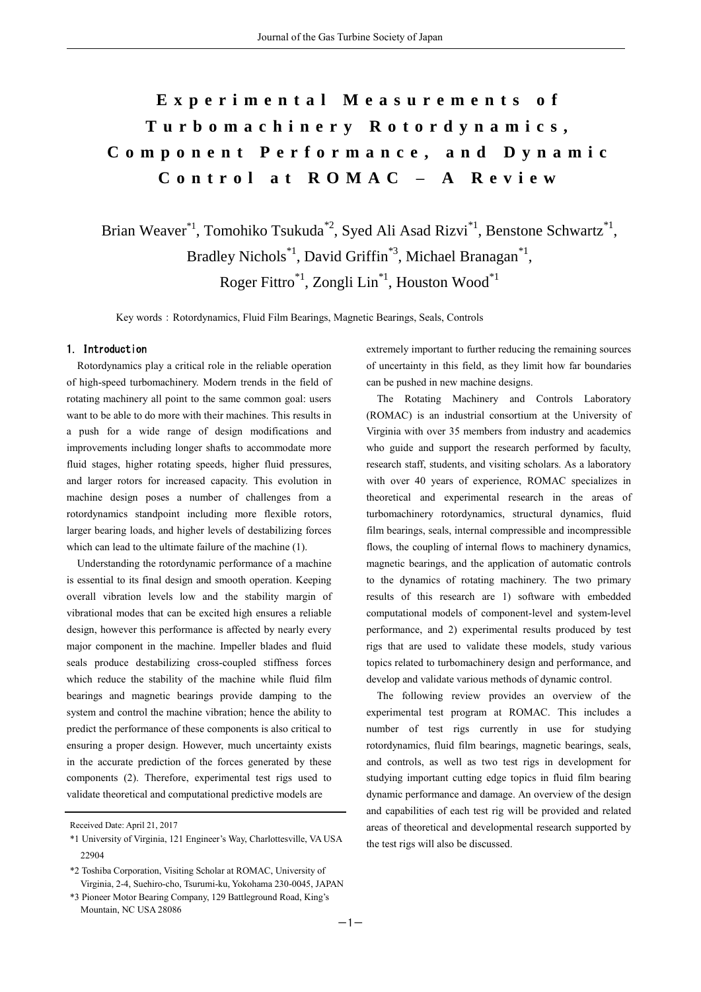# **E x p e r i m e n t a l M e a s u r e m e n t s o f T u r b o m a c h i n e r y R o t o r d y n a m i c s , C o m p o n e n t P e r f o r m a n c e , a n d D y n a m i c C o n t r o l a t R O M A C – A R e v i e w**

Brian Weaver<sup>\*1</sup>, Tomohiko Tsukuda<sup>\*2</sup>, Syed Ali Asad Rizvi<sup>\*1</sup>, Benstone Schwartz<sup>\*1</sup>, Bradley Nichols<sup>\*1</sup>, David Griffin<sup>\*3</sup>, Michael Branagan<sup>\*1</sup>, Roger Fittro\*1, Zongli Lin\*1, Houston Wood\*1

Key words: Rotordynamics, Fluid Film Bearings, Magnetic Bearings, Seals, Controls

#### 1. Introduction

Rotordynamics play a critical role in the reliable operation of high-speed turbomachinery. Modern trends in the field of rotating machinery all point to the same common goal: users want to be able to do more with their machines. This results in a push for a wide range of design modifications and improvements including longer shafts to accommodate more fluid stages, higher rotating speeds, higher fluid pressures, and larger rotors for increased capacity. This evolution in machine design poses a number of challenges from a rotordynamics standpoint including more flexible rotors, larger bearing loads, and higher levels of destabilizing forces which can lead to the ultimate failure of the machine (1).

Understanding the rotordynamic performance of a machine is essential to its final design and smooth operation. Keeping overall vibration levels low and the stability margin of vibrational modes that can be excited high ensures a reliable design, however this performance is affected by nearly every major component in the machine. Impeller blades and fluid seals produce destabilizing cross-coupled stiffness forces which reduce the stability of the machine while fluid film bearings and magnetic bearings provide damping to the system and control the machine vibration; hence the ability to predict the performance of these components is also critical to ensuring a proper design. However, much uncertainty exists in the accurate prediction of the forces generated by these components (2). Therefore, experimental test rigs used to validate theoretical and computational predictive models are

\*3 Pioneer Motor Bearing Company, 129 Battleground Road, King's Mountain, NC USA 28086

extremely important to further reducing the remaining sources of uncertainty in this field, as they limit how far boundaries can be pushed in new machine designs.

The Rotating Machinery and Controls Laboratory (ROMAC) is an industrial consortium at the University of Virginia with over 35 members from industry and academics who guide and support the research performed by faculty, research staff, students, and visiting scholars. As a laboratory with over 40 years of experience, ROMAC specializes in theoretical and experimental research in the areas of turbomachinery rotordynamics, structural dynamics, fluid film bearings, seals, internal compressible and incompressible flows, the coupling of internal flows to machinery dynamics, magnetic bearings, and the application of automatic controls to the dynamics of rotating machinery. The two primary results of this research are 1) software with embedded computational models of component-level and system-level performance, and 2) experimental results produced by test rigs that are used to validate these models, study various topics related to turbomachinery design and performance, and develop and validate various methods of dynamic control.

The following review provides an overview of the experimental test program at ROMAC. This includes a number of test rigs currently in use for studying rotordynamics, fluid film bearings, magnetic bearings, seals, and controls, as well as two test rigs in development for studying important cutting edge topics in fluid film bearing dynamic performance and damage. An overview of the design and capabilities of each test rig will be provided and related areas of theoretical and developmental research supported by the test rigs will also be discussed.

Received Date: April 21, 2017

<sup>\*1</sup> University of Virginia, 121 Engineer's Way, Charlottesville, VA USA 22904

<sup>\*2</sup> Toshiba Corporation, Visiting Scholar at ROMAC, University of Virginia, 2-4, Suehiro-cho, Tsurumi-ku, Yokohama 230-0045, JAPAN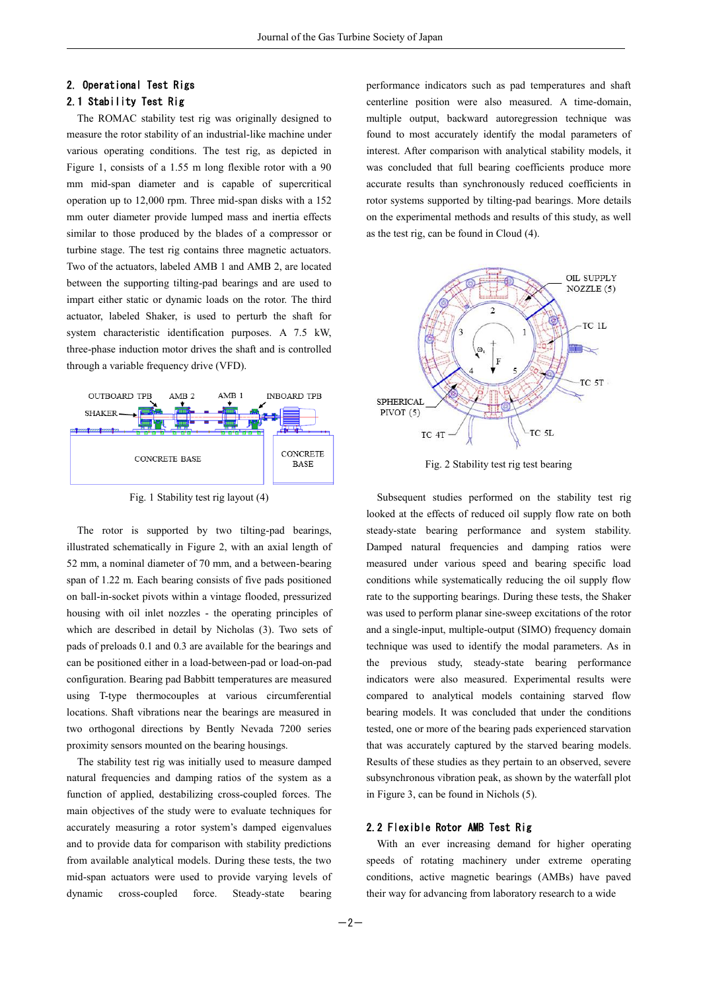## 2. Operational Test Rigs

### 2.1 Stability Test Rig

The ROMAC stability test rig was originally designed to measure the rotor stability of an industrial-like machine under various operating conditions. The test rig, as depicted in Figure 1, consists of a 1.55 m long flexible rotor with a 90 mm mid-span diameter and is capable of supercritical operation up to 12,000 rpm. Three mid-span disks with a 152 mm outer diameter provide lumped mass and inertia effects similar to those produced by the blades of a compressor or turbine stage. The test rig contains three magnetic actuators. Two of the actuators, labeled AMB 1 and AMB 2, are located between the supporting tilting-pad bearings and are used to impart either static or dynamic loads on the rotor. The third actuator, labeled Shaker, is used to perturb the shaft for system characteristic identification purposes. A 7.5 kW, three-phase induction motor drives the shaft and is controlled through a variable frequency drive (VFD).



Fig. 1 Stability test rig layout (4)

The rotor is supported by two tilting-pad bearings, illustrated schematically in Figure 2, with an axial length of 52 mm, a nominal diameter of 70 mm, and a between-bearing span of 1.22 m. Each bearing consists of five pads positioned on ball-in-socket pivots within a vintage flooded, pressurized housing with oil inlet nozzles - the operating principles of which are described in detail by Nicholas (3). Two sets of pads of preloads 0.1 and 0.3 are available for the bearings and can be positioned either in a load-between-pad or load-on-pad configuration. Bearing pad Babbitt temperatures are measured using T-type thermocouples at various circumferential locations. Shaft vibrations near the bearings are measured in two orthogonal directions by Bently Nevada 7200 series proximity sensors mounted on the bearing housings.

The stability test rig was initially used to measure damped natural frequencies and damping ratios of the system as a function of applied, destabilizing cross-coupled forces. The main objectives of the study were to evaluate techniques for accurately measuring a rotor system's damped eigenvalues and to provide data for comparison with stability predictions from available analytical models. During these tests, the two mid-span actuators were used to provide varying levels of dynamic cross-coupled force. Steady-state bearing

performance indicators such as pad temperatures and shaft centerline position were also measured. A time-domain, multiple output, backward autoregression technique was found to most accurately identify the modal parameters of interest. After comparison with analytical stability models, it was concluded that full bearing coefficients produce more accurate results than synchronously reduced coefficients in rotor systems supported by tilting-pad bearings. More details on the experimental methods and results of this study, as well as the test rig, can be found in Cloud (4).



Fig. 2 Stability test rig test bearing

Subsequent studies performed on the stability test rig looked at the effects of reduced oil supply flow rate on both steady-state bearing performance and system stability. Damped natural frequencies and damping ratios were measured under various speed and bearing specific load conditions while systematically reducing the oil supply flow rate to the supporting bearings. During these tests, the Shaker was used to perform planar sine-sweep excitations of the rotor and a single-input, multiple-output (SIMO) frequency domain technique was used to identify the modal parameters. As in the previous study, steady-state bearing performance indicators were also measured. Experimental results were compared to analytical models containing starved flow bearing models. It was concluded that under the conditions tested, one or more of the bearing pads experienced starvation that was accurately captured by the starved bearing models. Results of these studies as they pertain to an observed, severe subsynchronous vibration peak, as shown by the waterfall plot in Figure 3, can be found in Nichols (5).

#### 2.2 Flexible Rotor AMB Test Rig

With an ever increasing demand for higher operating speeds of rotating machinery under extreme operating conditions, active magnetic bearings (AMBs) have paved their way for advancing from laboratory research to a wide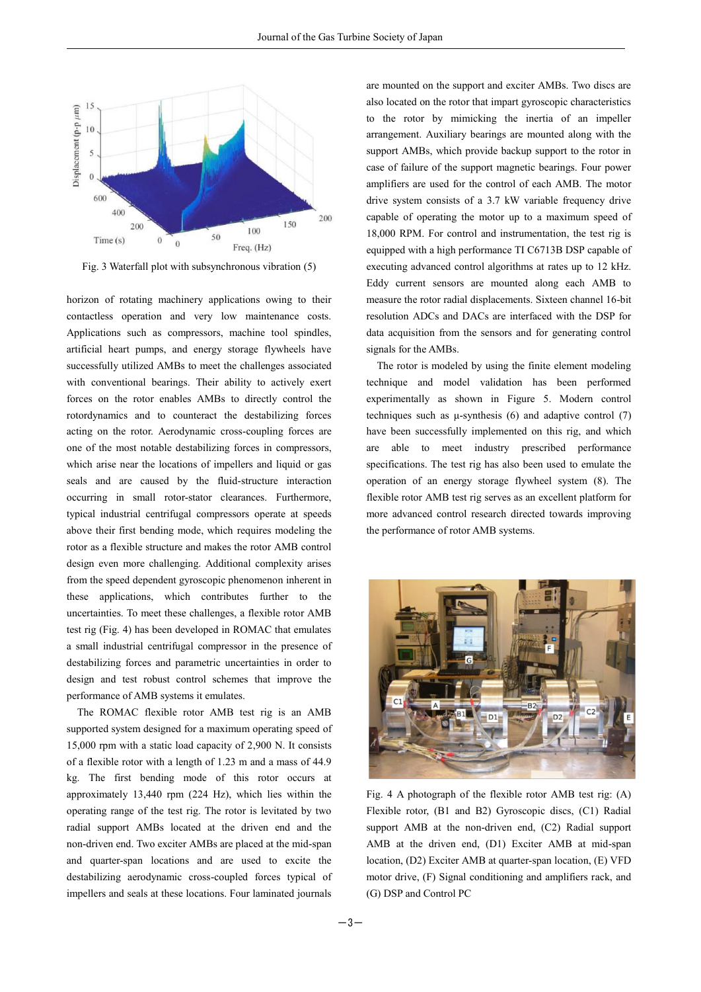

Fig. 3 Waterfall plot with subsynchronous vibration (5)

horizon of rotating machinery applications owing to their contactless operation and very low maintenance costs. Applications such as compressors, machine tool spindles, artificial heart pumps, and energy storage flywheels have successfully utilized AMBs to meet the challenges associated with conventional bearings. Their ability to actively exert forces on the rotor enables AMBs to directly control the rotordynamics and to counteract the destabilizing forces acting on the rotor. Aerodynamic cross-coupling forces are one of the most notable destabilizing forces in compressors, which arise near the locations of impellers and liquid or gas seals and are caused by the fluid-structure interaction occurring in small rotor-stator clearances. Furthermore, typical industrial centrifugal compressors operate at speeds above their first bending mode, which requires modeling the rotor as a flexible structure and makes the rotor AMB control design even more challenging. Additional complexity arises from the speed dependent gyroscopic phenomenon inherent in these applications, which contributes further to the uncertainties. To meet these challenges, a flexible rotor AMB test rig (Fig. 4) has been developed in ROMAC that emulates a small industrial centrifugal compressor in the presence of destabilizing forces and parametric uncertainties in order to design and test robust control schemes that improve the performance of AMB systems it emulates.

The ROMAC flexible rotor AMB test rig is an AMB supported system designed for a maximum operating speed of 15,000 rpm with a static load capacity of 2,900 N. It consists of a flexible rotor with a length of 1.23 m and a mass of 44.9 kg. The first bending mode of this rotor occurs at approximately 13,440 rpm (224 Hz), which lies within the operating range of the test rig. The rotor is levitated by two radial support AMBs located at the driven end and the non-driven end. Two exciter AMBs are placed at the mid-span and quarter-span locations and are used to excite the destabilizing aerodynamic cross-coupled forces typical of impellers and seals at these locations. Four laminated journals

are mounted on the support and exciter AMBs. Two discs are also located on the rotor that impart gyroscopic characteristics to the rotor by mimicking the inertia of an impeller arrangement. Auxiliary bearings are mounted along with the support AMBs, which provide backup support to the rotor in case of failure of the support magnetic bearings. Four power amplifiers are used for the control of each AMB. The motor drive system consists of a 3.7 kW variable frequency drive capable of operating the motor up to a maximum speed of 18,000 RPM. For control and instrumentation, the test rig is equipped with a high performance TI C6713B DSP capable of executing advanced control algorithms at rates up to 12 kHz. Eddy current sensors are mounted along each AMB to measure the rotor radial displacements. Sixteen channel 16-bit resolution ADCs and DACs are interfaced with the DSP for data acquisition from the sensors and for generating control signals for the AMBs.

The rotor is modeled by using the finite element modeling technique and model validation has been performed experimentally as shown in Figure 5. Modern control techniques such as μ-synthesis (6) and adaptive control (7) have been successfully implemented on this rig, and which are able to meet industry prescribed performance specifications. The test rig has also been used to emulate the operation of an energy storage flywheel system (8). The flexible rotor AMB test rig serves as an excellent platform for more advanced control research directed towards improving the performance of rotor AMB systems.



Fig. 4 A photograph of the flexible rotor AMB test rig: (A) Flexible rotor, (B1 and B2) Gyroscopic discs, (C1) Radial support AMB at the non-driven end, (C2) Radial support AMB at the driven end, (D1) Exciter AMB at mid-span location, (D2) Exciter AMB at quarter-span location, (E) VFD motor drive, (F) Signal conditioning and amplifiers rack, and (G) DSP and Control PC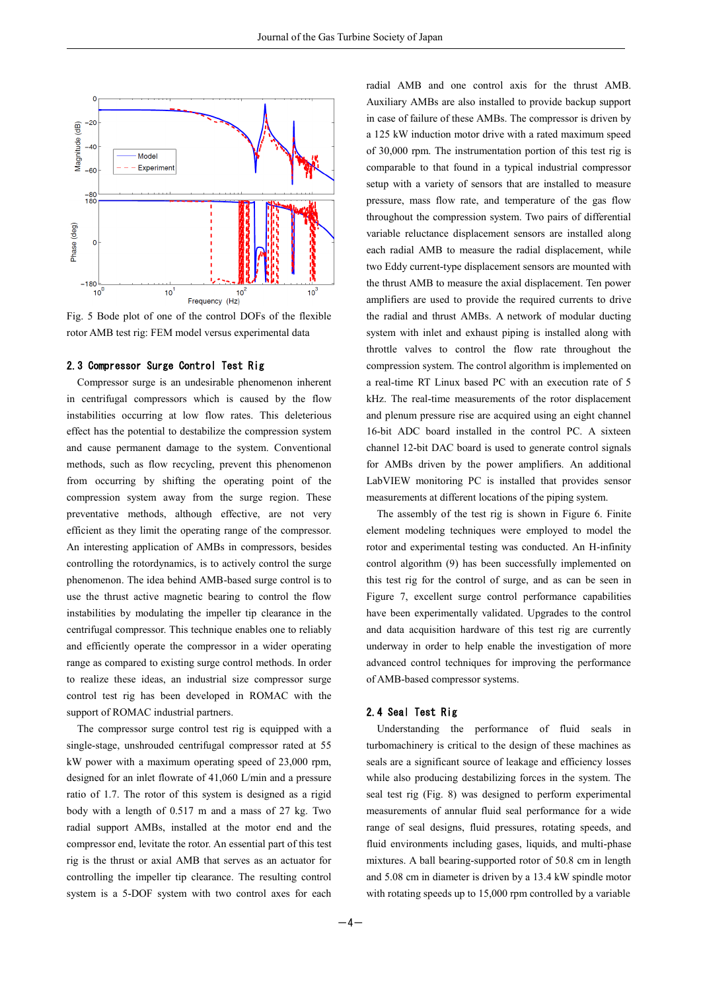

Fig. 5 Bode plot of one of the control DOFs of the flexible rotor AMB test rig: FEM model versus experimental data

#### 2.3 Compressor Surge Control Test Rig

Compressor surge is an undesirable phenomenon inherent in centrifugal compressors which is caused by the flow instabilities occurring at low flow rates. This deleterious effect has the potential to destabilize the compression system and cause permanent damage to the system. Conventional methods, such as flow recycling, prevent this phenomenon from occurring by shifting the operating point of the compression system away from the surge region. These preventative methods, although effective, are not very efficient as they limit the operating range of the compressor. An interesting application of AMBs in compressors, besides controlling the rotordynamics, is to actively control the surge phenomenon. The idea behind AMB-based surge control is to use the thrust active magnetic bearing to control the flow instabilities by modulating the impeller tip clearance in the centrifugal compressor. This technique enables one to reliably and efficiently operate the compressor in a wider operating range as compared to existing surge control methods. In order to realize these ideas, an industrial size compressor surge control test rig has been developed in ROMAC with the support of ROMAC industrial partners.

The compressor surge control test rig is equipped with a single-stage, unshrouded centrifugal compressor rated at 55 kW power with a maximum operating speed of 23,000 rpm, designed for an inlet flowrate of 41,060 L/min and a pressure ratio of 1.7. The rotor of this system is designed as a rigid body with a length of 0.517 m and a mass of 27 kg. Two radial support AMBs, installed at the motor end and the compressor end, levitate the rotor. An essential part of this test rig is the thrust or axial AMB that serves as an actuator for controlling the impeller tip clearance. The resulting control system is a 5-DOF system with two control axes for each radial AMB and one control axis for the thrust AMB. Auxiliary AMBs are also installed to provide backup support in case of failure of these AMBs. The compressor is driven by a 125 kW induction motor drive with a rated maximum speed of 30,000 rpm. The instrumentation portion of this test rig is comparable to that found in a typical industrial compressor setup with a variety of sensors that are installed to measure pressure, mass flow rate, and temperature of the gas flow throughout the compression system. Two pairs of differential variable reluctance displacement sensors are installed along each radial AMB to measure the radial displacement, while two Eddy current-type displacement sensors are mounted with the thrust AMB to measure the axial displacement. Ten power amplifiers are used to provide the required currents to drive the radial and thrust AMBs. A network of modular ducting system with inlet and exhaust piping is installed along with throttle valves to control the flow rate throughout the compression system. The control algorithm is implemented on a real-time RT Linux based PC with an execution rate of 5 kHz. The real-time measurements of the rotor displacement and plenum pressure rise are acquired using an eight channel 16-bit ADC board installed in the control PC. A sixteen channel 12-bit DAC board is used to generate control signals for AMBs driven by the power amplifiers. An additional LabVIEW monitoring PC is installed that provides sensor measurements at different locations of the piping system.

The assembly of the test rig is shown in Figure 6. Finite element modeling techniques were employed to model the rotor and experimental testing was conducted. An H-infinity control algorithm (9) has been successfully implemented on this test rig for the control of surge, and as can be seen in Figure 7, excellent surge control performance capabilities have been experimentally validated. Upgrades to the control and data acquisition hardware of this test rig are currently underway in order to help enable the investigation of more advanced control techniques for improving the performance of AMB-based compressor systems.

#### 2.4 Seal Test Rig

Understanding the performance of fluid seals in turbomachinery is critical to the design of these machines as seals are a significant source of leakage and efficiency losses while also producing destabilizing forces in the system. The seal test rig (Fig. 8) was designed to perform experimental measurements of annular fluid seal performance for a wide range of seal designs, fluid pressures, rotating speeds, and fluid environments including gases, liquids, and multi-phase mixtures. A ball bearing-supported rotor of 50.8 cm in length and 5.08 cm in diameter is driven by a 13.4 kW spindle motor with rotating speeds up to 15,000 rpm controlled by a variable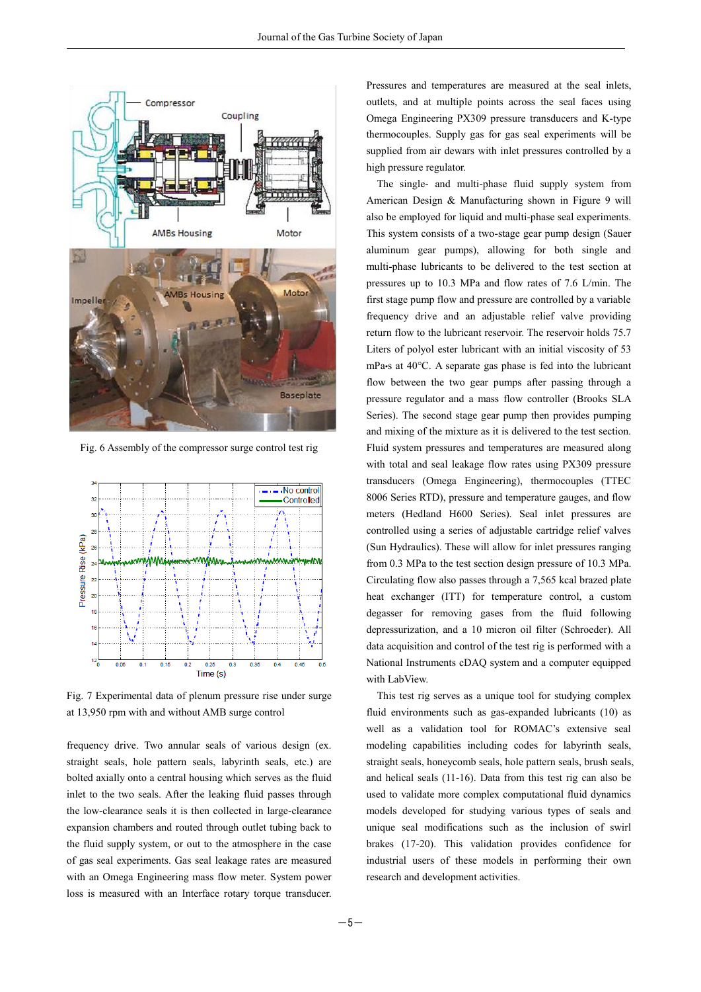

Fig. 6 Assembly of the compressor surge control test rig



Fig. 7 Experimental data of plenum pressure rise under surge at 13,950 rpm with and without AMB surge control

frequency drive. Two annular seals of various design (ex. straight seals, hole pattern seals, labyrinth seals, etc.) are bolted axially onto a central housing which serves as the fluid inlet to the two seals. After the leaking fluid passes through the low-clearance seals it is then collected in large-clearance expansion chambers and routed through outlet tubing back to the fluid supply system, or out to the atmosphere in the case of gas seal experiments. Gas seal leakage rates are measured with an Omega Engineering mass flow meter. System power loss is measured with an Interface rotary torque transducer. Pressures and temperatures are measured at the seal inlets, outlets, and at multiple points across the seal faces using Omega Engineering PX309 pressure transducers and K-type thermocouples. Supply gas for gas seal experiments will be supplied from air dewars with inlet pressures controlled by a high pressure regulator.

The single- and multi-phase fluid supply system from American Design & Manufacturing shown in Figure 9 will also be employed for liquid and multi-phase seal experiments. This system consists of a two-stage gear pump design (Sauer aluminum gear pumps), allowing for both single and multi-phase lubricants to be delivered to the test section at pressures up to 10.3 MPa and flow rates of 7.6 L/min. The first stage pump flow and pressure are controlled by a variable frequency drive and an adjustable relief valve providing return flow to the lubricant reservoir. The reservoir holds 75.7 Liters of polyol ester lubricant with an initial viscosity of 53 mPa•s at 40°C. A separate gas phase is fed into the lubricant flow between the two gear pumps after passing through a pressure regulator and a mass flow controller (Brooks SLA Series). The second stage gear pump then provides pumping and mixing of the mixture as it is delivered to the test section. Fluid system pressures and temperatures are measured along with total and seal leakage flow rates using PX309 pressure transducers (Omega Engineering), thermocouples (TTEC 8006 Series RTD), pressure and temperature gauges, and flow meters (Hedland H600 Series). Seal inlet pressures are controlled using a series of adjustable cartridge relief valves (Sun Hydraulics). These will allow for inlet pressures ranging from 0.3 MPa to the test section design pressure of 10.3 MPa. Circulating flow also passes through a 7,565 kcal brazed plate heat exchanger (ITT) for temperature control, a custom degasser for removing gases from the fluid following depressurization, and a 10 micron oil filter (Schroeder). All data acquisition and control of the test rig is performed with a National Instruments cDAQ system and a computer equipped with LabView.

This test rig serves as a unique tool for studying complex fluid environments such as gas-expanded lubricants (10) as well as a validation tool for ROMAC's extensive seal modeling capabilities including codes for labyrinth seals, straight seals, honeycomb seals, hole pattern seals, brush seals, and helical seals (11-16). Data from this test rig can also be used to validate more complex computational fluid dynamics models developed for studying various types of seals and unique seal modifications such as the inclusion of swirl brakes (17-20). This validation provides confidence for industrial users of these models in performing their own research and development activities.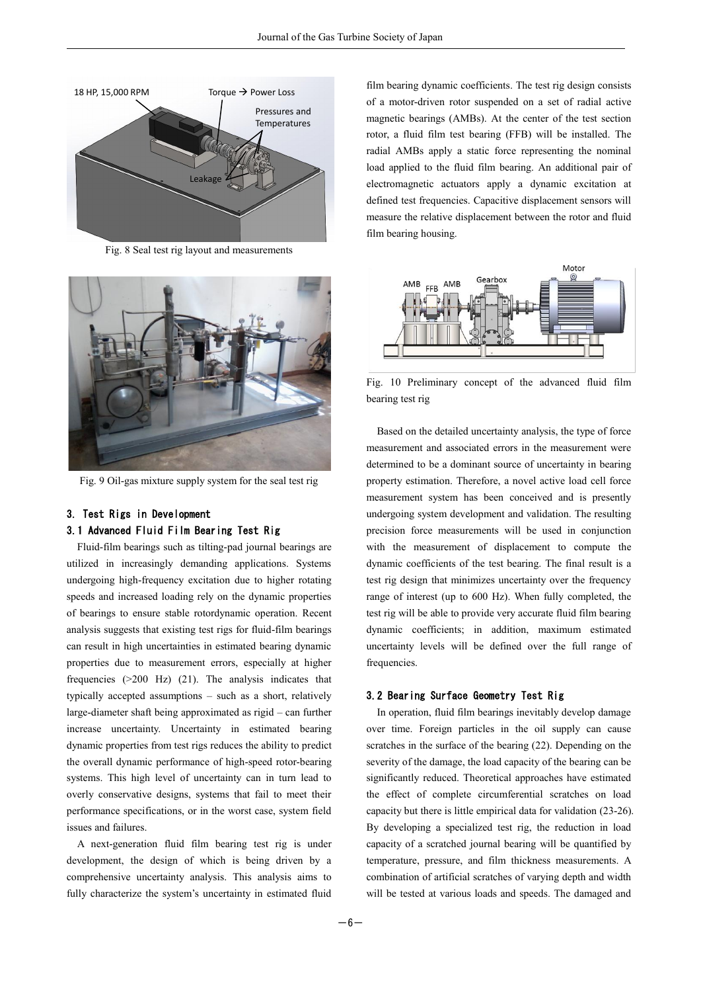

Fig. 8 Seal test rig layout and measurements



Fig. 9 Oil-gas mixture supply system for the seal test rig

#### 3. Test Rigs in Development

#### 3.1 Advanced Fluid Film Bearing Test Rig

Fluid-film bearings such as tilting-pad journal bearings are utilized in increasingly demanding applications. Systems undergoing high-frequency excitation due to higher rotating speeds and increased loading rely on the dynamic properties of bearings to ensure stable rotordynamic operation. Recent analysis suggests that existing test rigs for fluid-film bearings can result in high uncertainties in estimated bearing dynamic properties due to measurement errors, especially at higher frequencies (>200 Hz) (21). The analysis indicates that typically accepted assumptions – such as a short, relatively large-diameter shaft being approximated as rigid – can further increase uncertainty. Uncertainty in estimated bearing dynamic properties from test rigs reduces the ability to predict the overall dynamic performance of high-speed rotor-bearing systems. This high level of uncertainty can in turn lead to overly conservative designs, systems that fail to meet their performance specifications, or in the worst case, system field issues and failures.

A next-generation fluid film bearing test rig is under development, the design of which is being driven by a comprehensive uncertainty analysis. This analysis aims to fully characterize the system's uncertainty in estimated fluid film bearing dynamic coefficients. The test rig design consists of a motor-driven rotor suspended on a set of radial active magnetic bearings (AMBs). At the center of the test section rotor, a fluid film test bearing (FFB) will be installed. The radial AMBs apply a static force representing the nominal load applied to the fluid film bearing. An additional pair of electromagnetic actuators apply a dynamic excitation at defined test frequencies. Capacitive displacement sensors will measure the relative displacement between the rotor and fluid film bearing housing.



Fig. 10 Preliminary concept of the advanced fluid film bearing test rig

Based on the detailed uncertainty analysis, the type of force measurement and associated errors in the measurement were determined to be a dominant source of uncertainty in bearing property estimation. Therefore, a novel active load cell force measurement system has been conceived and is presently undergoing system development and validation. The resulting precision force measurements will be used in conjunction with the measurement of displacement to compute the dynamic coefficients of the test bearing. The final result is a test rig design that minimizes uncertainty over the frequency range of interest (up to 600 Hz). When fully completed, the test rig will be able to provide very accurate fluid film bearing dynamic coefficients; in addition, maximum estimated uncertainty levels will be defined over the full range of frequencies.

#### 3.2 Bearing Surface Geometry Test Rig

In operation, fluid film bearings inevitably develop damage over time. Foreign particles in the oil supply can cause scratches in the surface of the bearing (22). Depending on the severity of the damage, the load capacity of the bearing can be significantly reduced. Theoretical approaches have estimated the effect of complete circumferential scratches on load capacity but there is little empirical data for validation (23-26). By developing a specialized test rig, the reduction in load capacity of a scratched journal bearing will be quantified by temperature, pressure, and film thickness measurements. A combination of artificial scratches of varying depth and width will be tested at various loads and speeds. The damaged and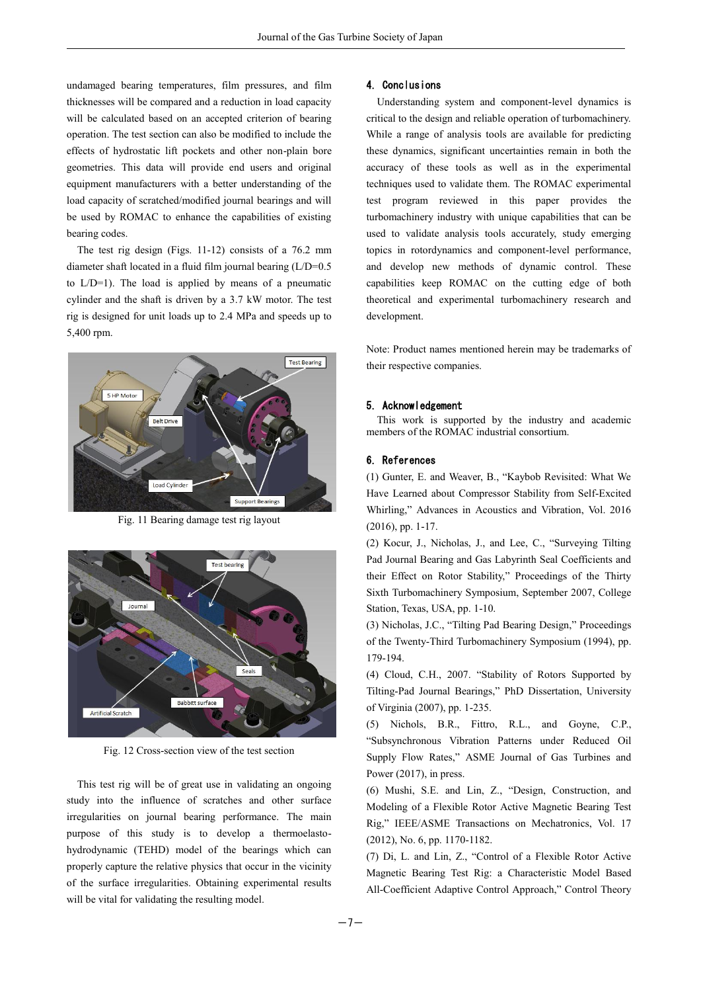undamaged bearing temperatures, film pressures, and film thicknesses will be compared and a reduction in load capacity will be calculated based on an accepted criterion of bearing operation. The test section can also be modified to include the effects of hydrostatic lift pockets and other non-plain bore geometries. This data will provide end users and original equipment manufacturers with a better understanding of the load capacity of scratched/modified journal bearings and will be used by ROMAC to enhance the capabilities of existing bearing codes.

The test rig design (Figs. 11-12) consists of a 76.2 mm diameter shaft located in a fluid film journal bearing (L/D=0.5 to L/D=1). The load is applied by means of a pneumatic cylinder and the shaft is driven by a 3.7 kW motor. The test rig is designed for unit loads up to 2.4 MPa and speeds up to 5,400 rpm.



Fig. 11 Bearing damage test rig layout



Fig. 12 Cross-section view of the test section

This test rig will be of great use in validating an ongoing study into the influence of scratches and other surface irregularities on journal bearing performance. The main purpose of this study is to develop a thermoelastohydrodynamic (TEHD) model of the bearings which can properly capture the relative physics that occur in the vicinity of the surface irregularities. Obtaining experimental results will be vital for validating the resulting model.

#### 4. Conclusions

Understanding system and component-level dynamics is critical to the design and reliable operation of turbomachinery. While a range of analysis tools are available for predicting these dynamics, significant uncertainties remain in both the accuracy of these tools as well as in the experimental techniques used to validate them. The ROMAC experimental test program reviewed in this paper provides the turbomachinery industry with unique capabilities that can be used to validate analysis tools accurately, study emerging topics in rotordynamics and component-level performance, and develop new methods of dynamic control. These capabilities keep ROMAC on the cutting edge of both theoretical and experimental turbomachinery research and development.

Note: Product names mentioned herein may be trademarks of their respective companies.

#### 5. Acknowledgement

This work is supported by the industry and academic members of the ROMAC industrial consortium.

#### 6. References

(1) Gunter, E. and Weaver, B., "Kaybob Revisited: What We Have Learned about Compressor Stability from Self-Excited Whirling," Advances in Acoustics and Vibration, Vol. 2016 (2016), pp. 1-17.

(2) Kocur, J., Nicholas, J., and Lee, C., "Surveying Tilting Pad Journal Bearing and Gas Labyrinth Seal Coefficients and their Effect on Rotor Stability," Proceedings of the Thirty Sixth Turbomachinery Symposium, September 2007, College Station, Texas, USA, pp. 1-10.

(3) Nicholas, J.C., "Tilting Pad Bearing Design," Proceedings of the Twenty-Third Turbomachinery Symposium (1994), pp. 179-194.

(4) Cloud, C.H., 2007. "Stability of Rotors Supported by Tilting-Pad Journal Bearings," PhD Dissertation, University of Virginia (2007), pp. 1-235.

(5) Nichols, B.R., Fittro, R.L., and Goyne, C.P., "Subsynchronous Vibration Patterns under Reduced Oil Supply Flow Rates," ASME Journal of Gas Turbines and Power (2017), in press.

(6) Mushi, S.E. and Lin, Z., "Design, Construction, and Modeling of a Flexible Rotor Active Magnetic Bearing Test Rig," IEEE/ASME Transactions on Mechatronics, Vol. 17 (2012), No. 6, pp. 1170-1182.

(7) Di, L. and Lin, Z., "Control of a Flexible Rotor Active Magnetic Bearing Test Rig: a Characteristic Model Based All-Coefficient Adaptive Control Approach," Control Theory